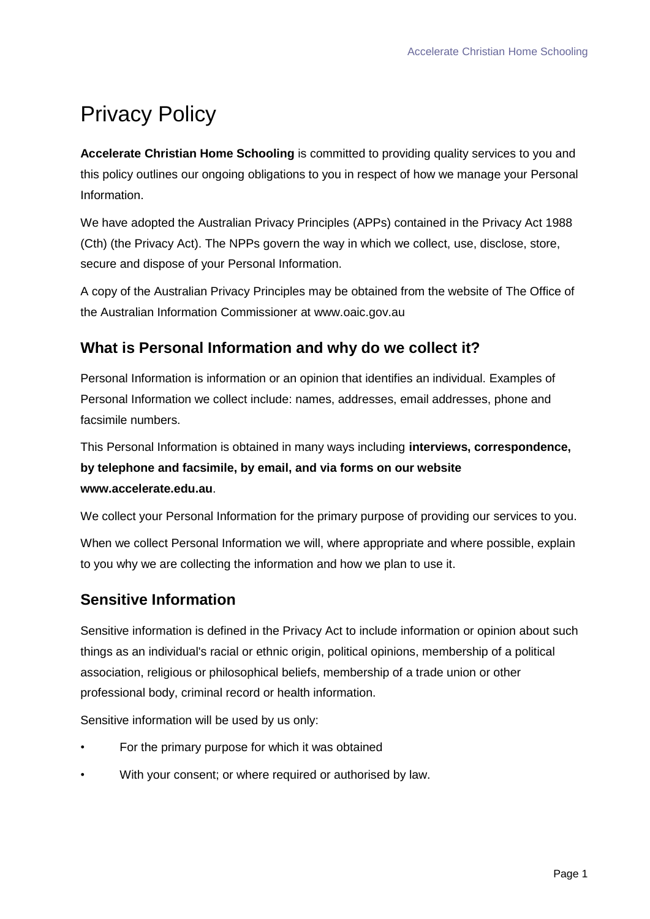# Privacy Policy

**Accelerate Christian Home Schooling** is committed to providing quality services to you and this policy outlines our ongoing obligations to you in respect of how we manage your Personal Information.

We have adopted the Australian Privacy Principles (APPs) contained in the Privacy Act 1988 (Cth) (the Privacy Act). The NPPs govern the way in which we collect, use, disclose, store, secure and dispose of your Personal Information.

A copy of the Australian Privacy Principles may be obtained from the website of The Office of the Australian Information Commissioner at www.oaic.gov.au

## **What is Personal Information and why do we collect it?**

Personal Information is information or an opinion that identifies an individual. Examples of Personal Information we collect include: names, addresses, email addresses, phone and facsimile numbers.

This Personal Information is obtained in many ways including **interviews, correspondence, by telephone and facsimile, by email, and via forms on our website www.accelerate.edu.au**.

We collect your Personal Information for the primary purpose of providing our services to you.

When we collect Personal Information we will, where appropriate and where possible, explain to you why we are collecting the information and how we plan to use it.

## **Sensitive Information**

Sensitive information is defined in the Privacy Act to include information or opinion about such things as an individual's racial or ethnic origin, political opinions, membership of a political association, religious or philosophical beliefs, membership of a trade union or other professional body, criminal record or health information.

Sensitive information will be used by us only:

- For the primary purpose for which it was obtained
- With your consent; or where required or authorised by law.